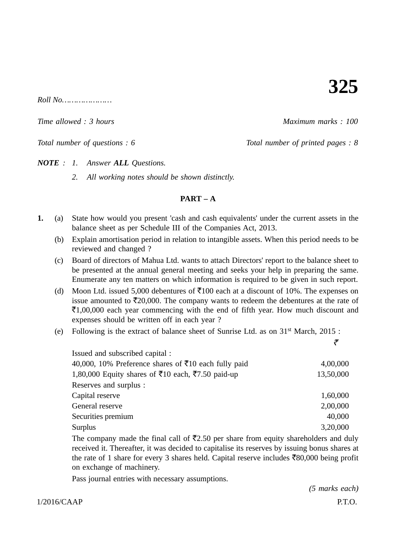**325**

 $Roll$  No<sub>2</sub>

*Time allowed : 3 hours Maximum marks : 100*

*Total number of questions : 6* Total number of printed pages : 8

*NOTE : 1. Answer ALL Questions.*

*2. All working notes should be shown distinctly.*

### **PART – A**

- **1.** (a) State how would you present 'cash and cash equivalents' under the current assets in the balance sheet as per Schedule III of the Companies Act, 2013.
	- (b) Explain amortisation period in relation to intangible assets. When this period needs to be reviewed and changed ?
	- (c) Board of directors of Mahua Ltd. wants to attach Directors' report to the balance sheet to be presented at the annual general meeting and seeks your help in preparing the same. Enumerate any ten matters on which information is required to be given in such report.
	- (d) Moon Ltd. issued 5,000 debentures of  $\overline{5}100$  each at a discount of 10%. The expenses on issue amounted to  $\bar{\mathfrak{Z}}20,000$ . The company wants to redeem the debentures at the rate of -1,00,000 each year commencing with the end of fifth year. How much discount and expenses should be written off in each year ?
	- (e) Following is the extract of balance sheet of Sunrise Ltd. as on 31st March, 2015 :

| Issued and subscribed capital :                                  |           |
|------------------------------------------------------------------|-----------|
| 40,000, 10% Preference shares of $\bar{\tau}$ 10 each fully paid | 4,00,000  |
| 1,80,000 Equity shares of ₹10 each, ₹7.50 paid-up                | 13,50,000 |
| Reserves and surplus :                                           |           |
| Capital reserve                                                  | 1,60,000  |
| General reserve                                                  | 2,00,000  |
| Securities premium                                               | 40,000    |
| Surplus                                                          | 3,20,000  |

The company made the final call of  $\overline{5}2.50$  per share from equity shareholders and duly received it. Thereafter, it was decided to capitalise its reserves by issuing bonus shares at the rate of 1 share for every 3 shares held. Capital reserve includes  $\bar{z}80,000$  being profit on exchange of machinery.

Pass journal entries with necessary assumptions.

 $1/2016/CAAP$  P.T.O. *(5 marks each)*

रै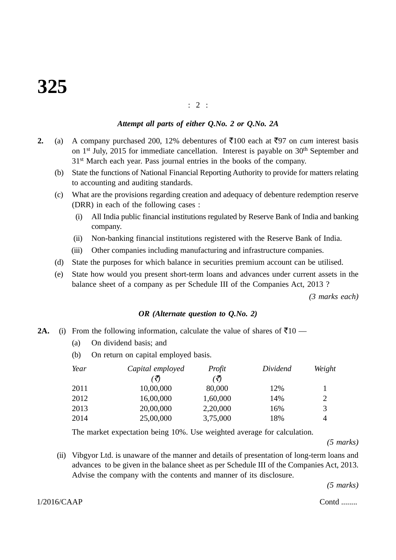### : 2 :

### *Attempt all parts of either Q.No. 2 or Q.No. 2A*

- **2.** (a) A company purchased 200, 12% debentures of  $\bar{\tau}$ 100 each at  $\bar{\tau}$ 97 on *cum* interest basis on 1<sup>st</sup> July, 2015 for immediate cancellation. Interest is payable on 30<sup>th</sup> September and 31st March each year. Pass journal entries in the books of the company.
	- (b) State the functions of National Financial Reporting Authority to provide for matters relating to accounting and auditing standards.
	- (c) What are the provisions regarding creation and adequacy of debenture redemption reserve (DRR) in each of the following cases :
		- (i) All India public financial institutions regulated by Reserve Bank of India and banking company.
		- (ii) Non-banking financial institutions registered with the Reserve Bank of India.
		- (iii) Other companies including manufacturing and infrastructure companies.
	- (d) State the purposes for which balance in securities premium account can be utilised.
	- (e) State how would you present short-term loans and advances under current assets in the balance sheet of a company as per Schedule III of the Companies Act, 2013 ?

*(3 marks each)*

### *OR (Alternate question to Q.No. 2)*

- **2A.** (i) From the following information, calculate the value of shares of  $\bar{\tau}10$ 
	- (a) On dividend basis; and
	- (b) On return on capital employed basis.

| Year | Capital employed | Profit   | Dividend | Weight |
|------|------------------|----------|----------|--------|
|      |                  | (₹)      |          |        |
| 2011 | 10,00,000        | 80,000   | 12%      |        |
| 2012 | 16,00,000        | 1,60,000 | 14%      | 2      |
| 2013 | 20,00,000        | 2,20,000 | 16%      | 3      |
| 2014 | 25,00,000        | 3,75,000 | 18%      | 4      |

The market expectation being 10%. Use weighted average for calculation.

*(5 marks)*

(ii) Vibgyor Ltd. is unaware of the manner and details of presentation of long-term loans and advances to be given in the balance sheet as per Schedule III of the Companies Act, 2013. Advise the company with the contents and manner of its disclosure.

*(5 marks)*

 $1/2016/CAAP$  Contd ........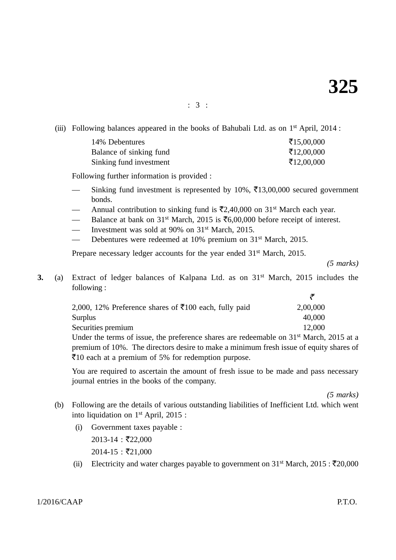: 3 :

(iii) Following balances appeared in the books of Bahubali Ltd. as on  $1<sup>st</sup>$  April, 2014 :

| 14% Debentures          | ₹15,00,000 |
|-------------------------|------------|
| Balance of sinking fund | ₹12,00,000 |
| Sinking fund investment | ₹12,00,000 |

Following further information is provided :

- Sinking fund investment is represented by 10%, ₹13,00,000 secured government bonds.
- Annual contribution to sinking fund is  $\bar{\mathfrak{Z}}2,40,000$  on  $31^{\text{st}}$  March each year.
- Balance at bank on 31<sup>st</sup> March, 2015 is ₹6,00,000 before receipt of interest.
- Investment was sold at 90% on 31<sup>st</sup> March, 2015.
- Debentures were redeemed at 10% premium on 31<sup>st</sup> March, 2015.

Prepare necessary ledger accounts for the year ended 31<sup>st</sup> March, 2015.

*(5 marks)*

**3.** (a) Extract of ledger balances of Kalpana Ltd. as on 31<sup>st</sup> March, 2015 includes the following :

| 2,000, 12% Preference shares of $\bar{\tau}100$ each, fully paid | 2,00,000 |
|------------------------------------------------------------------|----------|
| Surplus                                                          | 40,000   |
| Securities premium                                               | 12,000   |

Under the terms of issue, the preference shares are redeemable on 31st March, 2015 at a premium of 10%. The directors desire to make a minimum fresh issue of equity shares of -10 each at a premium of 5% for redemption purpose.

You are required to ascertain the amount of fresh issue to be made and pass necessary journal entries in the books of the company.

*(5 marks)*

- (b) Following are the details of various outstanding liabilities of Inefficient Ltd. which went into liquidation on 1st April, 2015 :
	- (i) Government taxes payable :  $2013-14$ : ₹22,000  $2014 - 15 :$  ₹21,000
	- (ii) Electricity and water charges payable to government on  $31<sup>st</sup> March, 2015 : ₹20,000$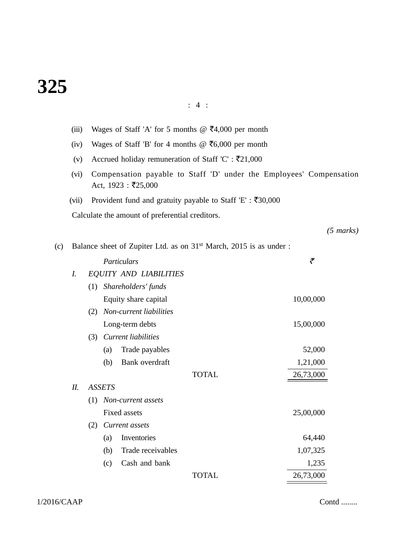# **325**

# : 4 :

|     | (iii) |     |                   |                                                 | Wages of Staff 'A' for 5 months @ $\overline{5}4,000$ per month                |                                                                     |  |
|-----|-------|-----|-------------------|-------------------------------------------------|--------------------------------------------------------------------------------|---------------------------------------------------------------------|--|
|     | (iv)  |     |                   |                                                 | Wages of Staff 'B' for 4 months @ $\overline{56,000}$ per month                |                                                                     |  |
|     | (v)   |     |                   |                                                 | Accrued holiday remuneration of Staff 'C' : $\bar{\tau}21,000$                 |                                                                     |  |
|     | (vi)  |     |                   | Act, $1923 : ₹25,000$                           |                                                                                | Compensation payable to Staff 'D' under the Employees' Compensation |  |
|     | (vii) |     |                   |                                                 | Provident fund and gratuity payable to Staff 'E' : ₹30,000                     |                                                                     |  |
|     |       |     |                   | Calculate the amount of preferential creditors. |                                                                                |                                                                     |  |
|     |       |     |                   |                                                 |                                                                                | $(5 \text{ marks})$                                                 |  |
| (c) |       |     |                   |                                                 | Balance sheet of Zupiter Ltd. as on 31 <sup>st</sup> March, 2015 is as under : |                                                                     |  |
|     |       |     |                   | Particulars                                     |                                                                                | ₹                                                                   |  |
|     | I.    |     |                   | <b>EQUITY AND LIABILITIES</b>                   |                                                                                |                                                                     |  |
|     |       | (1) |                   | Shareholders' funds                             |                                                                                |                                                                     |  |
|     |       |     |                   | Equity share capital                            |                                                                                | 10,00,000                                                           |  |
|     |       | (2) |                   | Non-current liabilities                         |                                                                                |                                                                     |  |
|     |       |     |                   | Long-term debts                                 |                                                                                | 15,00,000                                                           |  |
|     |       |     |                   | (3) Current liabilities                         |                                                                                |                                                                     |  |
|     |       |     | (a)               | Trade payables                                  |                                                                                | 52,000                                                              |  |
|     |       |     | (b)               | Bank overdraft                                  |                                                                                | 1,21,000                                                            |  |
|     |       |     |                   |                                                 | <b>TOTAL</b>                                                                   | 26,73,000                                                           |  |
|     | II.   |     | <b>ASSETS</b>     |                                                 |                                                                                |                                                                     |  |
|     |       | (1) |                   | Non-current assets                              |                                                                                |                                                                     |  |
|     |       | (2) |                   | Fixed assets<br>Current assets                  |                                                                                | 25,00,000                                                           |  |
|     |       |     | $\left( a\right)$ | Inventories                                     |                                                                                | 64,440                                                              |  |
|     |       |     | (b)               | Trade receivables                               |                                                                                | 1,07,325                                                            |  |
|     |       |     | (c)               | Cash and bank                                   |                                                                                | 1,235                                                               |  |
|     |       |     |                   |                                                 | <b>TOTAL</b>                                                                   | 26,73,000                                                           |  |
|     |       |     |                   |                                                 |                                                                                |                                                                     |  |

1/2016/CAAP Contd ........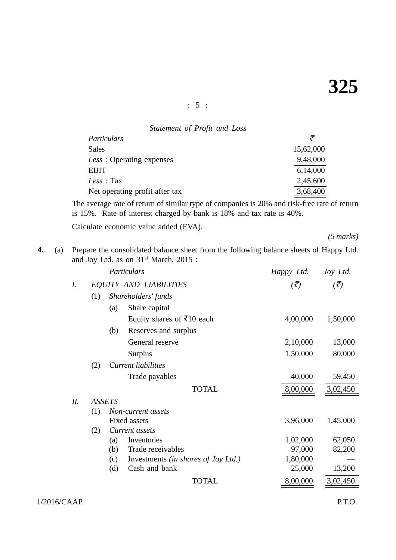: 5 :

| Statement of Profit and Loss   |           |
|--------------------------------|-----------|
| Particulars                    | ₹         |
| Sales                          | 15,62,000 |
| Less: Operating expenses       | 9,48,000  |
| <b>EBIT</b>                    | 6,14,000  |
| Less : Tax                     | 2,45,600  |
| Net operating profit after tax | 3,68,400  |

The average rate of return of similar type of companies is 20% and risk-free rate of return is 15%. Rate of interest charged by bank is 18% and tax rate is 40%.

Calculate economic value added (EVA).

*(5 marks)*

**4.** (a) Prepare the consolidated balance sheet from the following balance sheets of Happy Ltd. and Joy Ltd. as on 31st March, 2015 :

|     |     | Particulars                                       | Happy Ltd.                   | Joy Ltd.                         |
|-----|-----|---------------------------------------------------|------------------------------|----------------------------------|
| I.  |     | <b>EQUITY AND LIABILITIES</b>                     | $\left(\bar{\vec{z}}\right)$ | $\left(\bar{\mathcal{J}}\right)$ |
|     | (1) | Shareholders' funds                               |                              |                                  |
|     |     | Share capital<br>(a)                              |                              |                                  |
|     |     | Equity shares of ₹10 each                         | 4,00,000                     | 1,50,000                         |
|     |     | Reserves and surplus<br>(b)                       |                              |                                  |
|     |     | General reserve                                   | 2,10,000                     | 13,000                           |
|     |     | <b>Surplus</b>                                    | 1,50,000                     | 80,000                           |
|     | (2) | <b>Current liabilities</b>                        |                              |                                  |
|     |     | Trade payables                                    | 40,000                       | 59,450                           |
|     |     | <b>TOTAL</b>                                      | 8,00,000                     | 3,02,450                         |
| II. |     | <b>ASSETS</b>                                     |                              |                                  |
|     | (1) | Non-current assets                                |                              |                                  |
|     |     | <b>Fixed assets</b>                               | 3,96,000                     | 1,45,000                         |
|     | (2) | Current assets                                    |                              |                                  |
|     |     | (a)<br>Inventories                                | 1,02,000                     | 62,050                           |
|     |     | Trade receivables<br>(b)                          | 97,000                       | 82,200                           |
|     |     | Investments <i>(in shares of Joy Ltd.)</i><br>(c) | 1,80,000                     |                                  |
|     |     | Cash and bank<br>(d)                              | 25,000                       | 13,200                           |
|     |     | <b>TOTAL</b>                                      | 8,00,000                     | 3,02,450                         |
|     |     |                                                   |                              |                                  |

1/2016/CAAP P.T.O.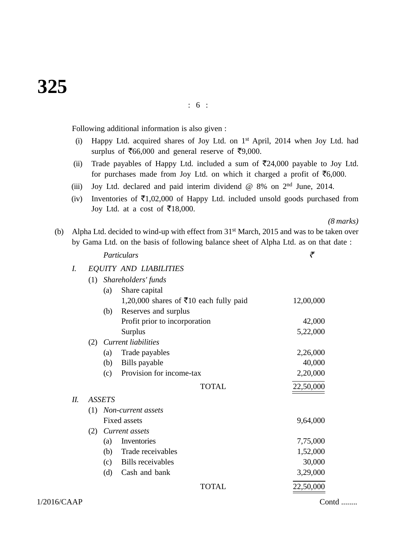# **325**

: 6 :

Following additional information is also given :

- (i) Happy Ltd. acquired shares of Joy Ltd. on 1st April, 2014 when Joy Ltd. had surplus of  $\overline{566,000}$  and general reserve of  $\overline{59,000}$ .
- (ii) Trade payables of Happy Ltd. included a sum of  $\overline{5}24,000$  payable to Joy Ltd. for purchases made from Joy Ltd. on which it charged a profit of  $\bar{c}$  6,000.
- (iii) Joy Ltd. declared and paid interim dividend @ 8% on 2nd June, 2014.
- (iv) Inventories of  $\bar{\epsilon}1,02,000$  of Happy Ltd. included unsold goods purchased from Joy Ltd. at a cost of  $\overline{\xi}18,000$ .

*(8 marks)*

(b) Alpha Ltd. decided to wind-up with effect from 31st March, 2015 and was to be taken over by Gama Ltd. on the basis of following balance sheet of Alpha Ltd. as on that date :

|        |     |               | Particulars                            | ₹         |  |
|--------|-----|---------------|----------------------------------------|-----------|--|
| I.     |     |               | <b>EQUITY AND LIABILITIES</b>          |           |  |
|        | (1) |               | Shareholders' funds                    |           |  |
|        |     | (a)           | Share capital                          |           |  |
|        |     |               | 1,20,000 shares of ₹10 each fully paid | 12,00,000 |  |
|        |     | (b)           | Reserves and surplus                   |           |  |
|        |     |               | Profit prior to incorporation          | 42,000    |  |
|        |     |               | <b>Surplus</b>                         | 5,22,000  |  |
|        | (2) |               | Current liabilities                    |           |  |
|        |     | (a)           | Trade payables                         | 2,26,000  |  |
|        |     | (b)           | Bills payable                          | 40,000    |  |
|        |     | (c)           | Provision for income-tax               | 2,20,000  |  |
|        |     |               | <b>TOTAL</b>                           | 22,50,000 |  |
| $II$ . |     | <b>ASSETS</b> |                                        |           |  |
|        | (1) |               | Non-current assets                     |           |  |
|        |     |               | <b>Fixed assets</b>                    | 9,64,000  |  |
|        | (2) |               | Current assets                         |           |  |
|        |     | (a)           | Inventories                            | 7,75,000  |  |
|        |     | (b)           | Trade receivables                      | 1,52,000  |  |
|        |     | (c)           | <b>Bills</b> receivables               | 30,000    |  |
|        |     | (d)           | Cash and bank                          | 3,29,000  |  |
|        |     |               | <b>TOTAL</b>                           | 22,50,000 |  |

 $1/2016/CAAP$  Contd ........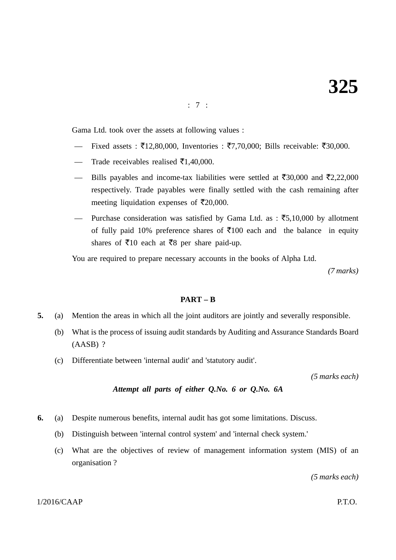: 7 :

Gama Ltd. took over the assets at following values :

- Fixed assets : ₹12,80,000, Inventories : ₹7,70,000; Bills receivable: ₹30,000.
- Trade receivables realised  $\bar{\mathfrak{e}}1,40,000$ .
- Bills payables and income-tax liabilities were settled at ₹30,000 and ₹2,22,000 respectively. Trade payables were finally settled with the cash remaining after meeting liquidation expenses of  $\overline{\epsilon}20,000$ .
- Purchase consideration was satisfied by Gama Ltd. as :  $\overline{5}5,10,000$  by allotment of fully paid 10% preference shares of  $\bar{\tau}$ 100 each and the balance in equity shares of  $\overline{5}10$  each at  $\overline{5}8$  per share paid-up.

You are required to prepare necessary accounts in the books of Alpha Ltd.

*(7 marks)*

### **PART – B**

- **5.** (a) Mention the areas in which all the joint auditors are jointly and severally responsible.
	- (b) What is the process of issuing audit standards by Auditing and Assurance Standards Board (AASB) ?
	- (c) Differentiate between 'internal audit' and 'statutory audit'.

*(5 marks each)*

### *Attempt all parts of either Q.No. 6 or Q.No. 6A*

- **6.** (a) Despite numerous benefits, internal audit has got some limitations. Discuss.
	- (b) Distinguish between 'internal control system' and 'internal check system.'
	- (c) What are the objectives of review of management information system (MIS) of an organisation ?

*(5 marks each)*

#### $1/2016/CAAP$  P.T.O.